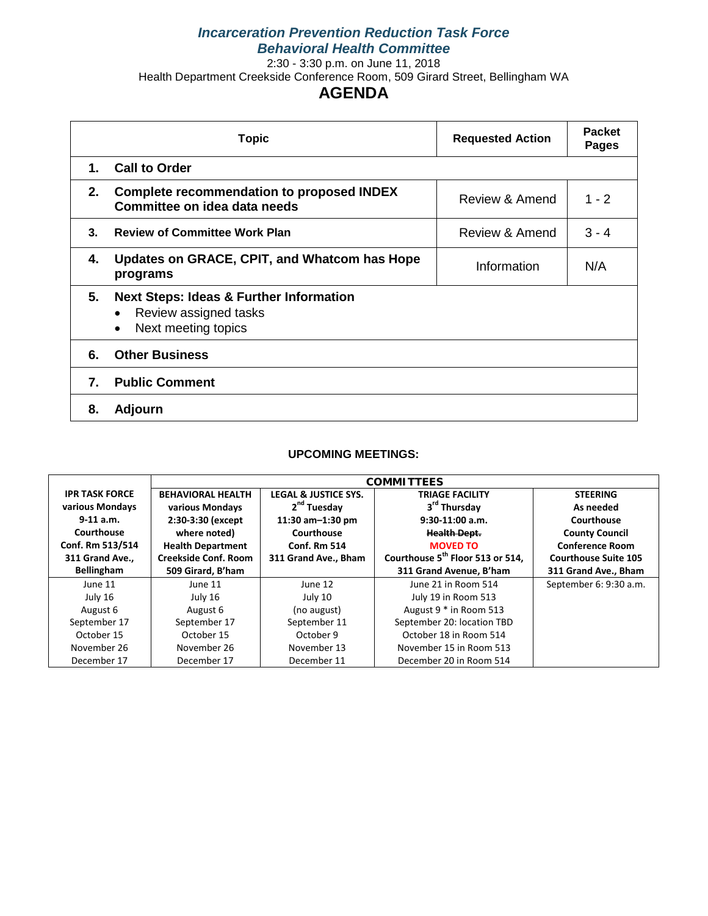## *Incarceration Prevention Reduction Task Force Behavioral Health Committee*

2:30 - 3:30 p.m. on June 11, 2018

Health Department Creekside Conference Room, 509 Girard Street, Bellingham WA

# **AGENDA**

|    | <b>Topic</b>                                                                                                                 | <b>Requested Action</b> | <b>Packet</b><br><b>Pages</b> |
|----|------------------------------------------------------------------------------------------------------------------------------|-------------------------|-------------------------------|
| 1. | <b>Call to Order</b>                                                                                                         |                         |                               |
| 2. | <b>Complete recommendation to proposed INDEX</b><br>Committee on idea data needs                                             | Review & Amend          | $1 - 2$                       |
| 3. | <b>Review of Committee Work Plan</b>                                                                                         | Review & Amend          | $3 - 4$                       |
| 4. | Updates on GRACE, CPIT, and Whatcom has Hope<br>programs                                                                     | Information             | N/A                           |
| 5. | <b>Next Steps: Ideas &amp; Further Information</b><br>Review assigned tasks<br>$\bullet$<br>Next meeting topics<br>$\bullet$ |                         |                               |
| 6. | <b>Other Business</b>                                                                                                        |                         |                               |
| 7. | <b>Public Comment</b>                                                                                                        |                         |                               |
| 8. | <b>Adjourn</b>                                                                                                               |                         |                               |

#### **UPCOMING MEETINGS:**

| <b>IPR TASK FORCE</b> | <b>BEHAVIORAL HEALTH</b>    | <b>LEGAL &amp; JUSTICE SYS.</b> | <b>TRIAGE FACILITY</b>                       | <b>STEERING</b>             |  |  |  |  |  |  |
|-----------------------|-----------------------------|---------------------------------|----------------------------------------------|-----------------------------|--|--|--|--|--|--|
| various Mondays       | various Mondays             | 2 <sup>nd</sup> Tuesday         | 3rd Thursday                                 | As needed                   |  |  |  |  |  |  |
| $9-11$ a.m.           | 2:30-3:30 (except           | 11:30 am-1:30 pm                | $9:30-11:00$ a.m.                            | Courthouse                  |  |  |  |  |  |  |
| Courthouse            | where noted)                | Courthouse                      | <b>Health Dept.</b>                          | <b>County Council</b>       |  |  |  |  |  |  |
| Conf. Rm 513/514      | <b>Health Department</b>    | <b>Conf. Rm 514</b>             | <b>MOVED TO</b>                              | <b>Conference Room</b>      |  |  |  |  |  |  |
| 311 Grand Ave.,       | <b>Creekside Conf. Room</b> | 311 Grand Ave., Bham            | Courthouse 5 <sup>th</sup> Floor 513 or 514, | <b>Courthouse Suite 105</b> |  |  |  |  |  |  |
| <b>Bellingham</b>     | 509 Girard, B'ham           |                                 | 311 Grand Avenue, B'ham                      | 311 Grand Ave., Bham        |  |  |  |  |  |  |
| June 11               | June 11                     | June 12                         | June 21 in Room 514                          | September 6: 9:30 a.m.      |  |  |  |  |  |  |
| July 16               | July 16                     | July 10                         | July 19 in Room 513                          |                             |  |  |  |  |  |  |
| August 6              | August 6                    | (no august)                     | August 9 * in Room 513                       |                             |  |  |  |  |  |  |
| September 17          | September 17                | September 11                    | September 20: location TBD                   |                             |  |  |  |  |  |  |
| October 15            | October 15                  | October 9                       | October 18 in Room 514                       |                             |  |  |  |  |  |  |
| November 26           | November 26                 | November 13                     | November 15 in Room 513                      |                             |  |  |  |  |  |  |
| December 17           | December 17                 | December 11                     | December 20 in Room 514                      |                             |  |  |  |  |  |  |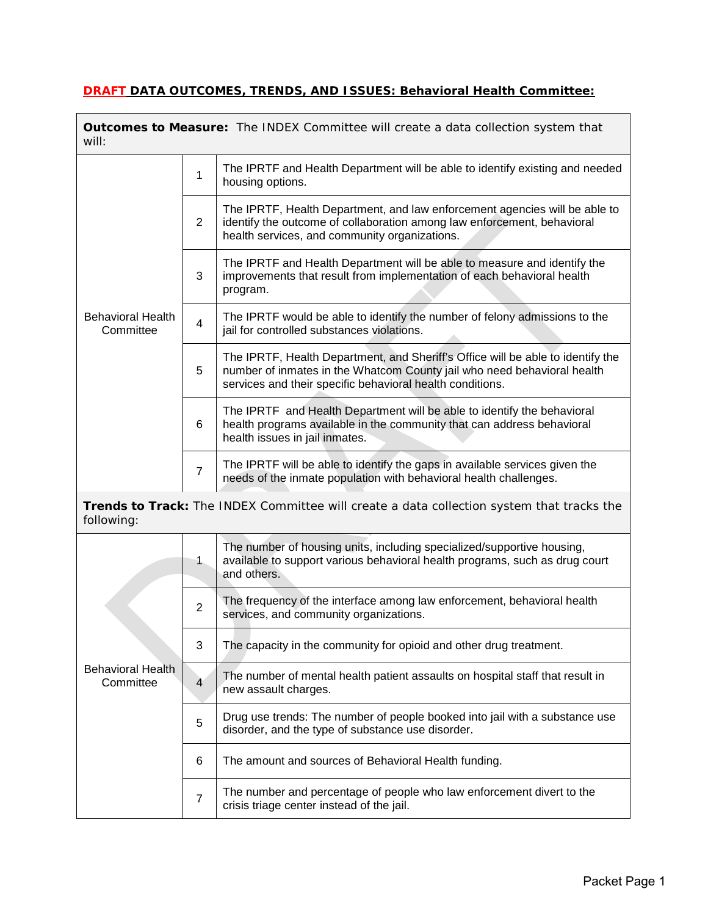# **DRAFT DATA OUTCOMES, TRENDS, AND ISSUES: Behavioral Health Committee:**

 $\mathbf{r}$ 

| <b>Outcomes to Measure:</b> The INDEX Committee will create a data collection system that<br>will: |                                                                                                                                                                    |                                                                                                                                                                                                                         |  |  |  |  |  |  |  |
|----------------------------------------------------------------------------------------------------|--------------------------------------------------------------------------------------------------------------------------------------------------------------------|-------------------------------------------------------------------------------------------------------------------------------------------------------------------------------------------------------------------------|--|--|--|--|--|--|--|
|                                                                                                    | $\mathbf{1}$                                                                                                                                                       | The IPRTF and Health Department will be able to identify existing and needed<br>housing options.                                                                                                                        |  |  |  |  |  |  |  |
|                                                                                                    | $\overline{2}$                                                                                                                                                     | The IPRTF, Health Department, and law enforcement agencies will be able to<br>identify the outcome of collaboration among law enforcement, behavioral<br>health services, and community organizations.                  |  |  |  |  |  |  |  |
|                                                                                                    | 3                                                                                                                                                                  | The IPRTF and Health Department will be able to measure and identify the<br>improvements that result from implementation of each behavioral health<br>program.                                                          |  |  |  |  |  |  |  |
| <b>Behavioral Health</b><br>Committee                                                              | 4                                                                                                                                                                  | The IPRTF would be able to identify the number of felony admissions to the<br>jail for controlled substances violations.                                                                                                |  |  |  |  |  |  |  |
|                                                                                                    | 5                                                                                                                                                                  | The IPRTF, Health Department, and Sheriff's Office will be able to identify the<br>number of inmates in the Whatcom County jail who need behavioral health<br>services and their specific behavioral health conditions. |  |  |  |  |  |  |  |
|                                                                                                    | 6                                                                                                                                                                  | The IPRTF and Health Department will be able to identify the behavioral<br>health programs available in the community that can address behavioral<br>health issues in jail inmates.                                     |  |  |  |  |  |  |  |
|                                                                                                    | The IPRTF will be able to identify the gaps in available services given the<br>$\overline{7}$<br>needs of the inmate population with behavioral health challenges. |                                                                                                                                                                                                                         |  |  |  |  |  |  |  |
| following:                                                                                         |                                                                                                                                                                    | Trends to Track: The INDEX Committee will create a data collection system that tracks the                                                                                                                               |  |  |  |  |  |  |  |
|                                                                                                    | $\mathbf{1}$                                                                                                                                                       | The number of housing units, including specialized/supportive housing,<br>available to support various behavioral health programs, such as drug court<br>and others.                                                    |  |  |  |  |  |  |  |
|                                                                                                    | $\overline{2}$                                                                                                                                                     | The frequency of the interface among law enforcement, behavioral health<br>services, and community organizations.                                                                                                       |  |  |  |  |  |  |  |
|                                                                                                    | 3                                                                                                                                                                  | The capacity in the community for opioid and other drug treatment.                                                                                                                                                      |  |  |  |  |  |  |  |
| <b>Behavioral Health</b><br>Committee                                                              | $\overline{4}$                                                                                                                                                     | The number of mental health patient assaults on hospital staff that result in<br>new assault charges.                                                                                                                   |  |  |  |  |  |  |  |
|                                                                                                    | 5                                                                                                                                                                  | Drug use trends: The number of people booked into jail with a substance use<br>disorder, and the type of substance use disorder.                                                                                        |  |  |  |  |  |  |  |
|                                                                                                    | 6                                                                                                                                                                  | The amount and sources of Behavioral Health funding.                                                                                                                                                                    |  |  |  |  |  |  |  |
|                                                                                                    | $\overline{7}$                                                                                                                                                     | The number and percentage of people who law enforcement divert to the<br>crisis triage center instead of the jail.                                                                                                      |  |  |  |  |  |  |  |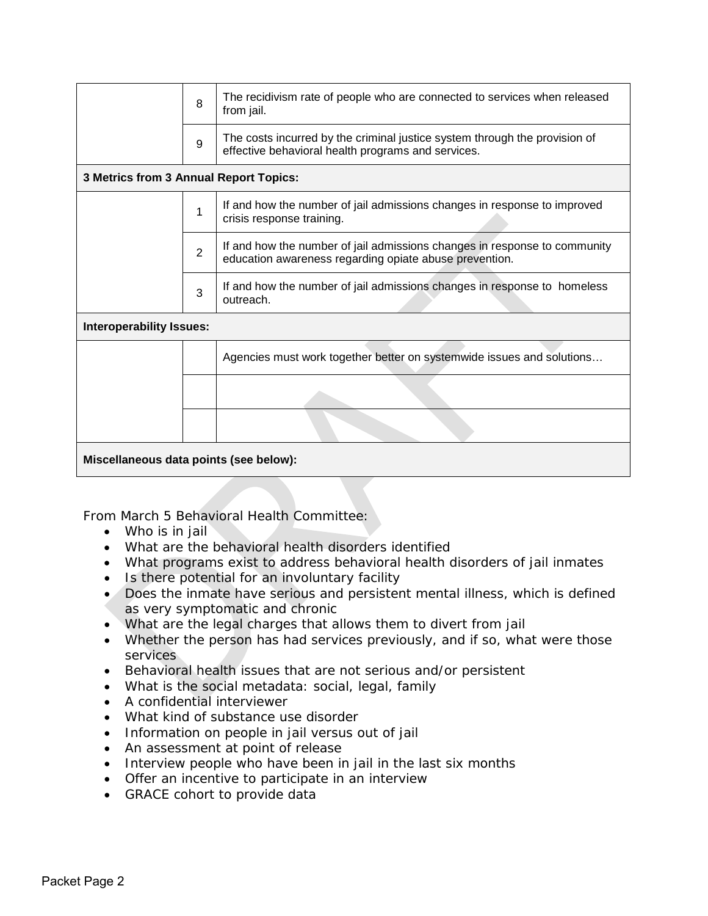|                                        | 8              | The recidivism rate of people who are connected to services when released<br>from jail.                                             |  |  |  |  |  |  |  |  |
|----------------------------------------|----------------|-------------------------------------------------------------------------------------------------------------------------------------|--|--|--|--|--|--|--|--|
|                                        | 9              | The costs incurred by the criminal justice system through the provision of<br>effective behavioral health programs and services.    |  |  |  |  |  |  |  |  |
| 3 Metrics from 3 Annual Report Topics: |                |                                                                                                                                     |  |  |  |  |  |  |  |  |
|                                        | 1              | If and how the number of jail admissions changes in response to improved<br>crisis response training.                               |  |  |  |  |  |  |  |  |
|                                        | $\overline{2}$ | If and how the number of jail admissions changes in response to community<br>education awareness regarding opiate abuse prevention. |  |  |  |  |  |  |  |  |
|                                        | 3              | If and how the number of jail admissions changes in response to homeless<br>outreach.                                               |  |  |  |  |  |  |  |  |
| <b>Interoperability Issues:</b>        |                |                                                                                                                                     |  |  |  |  |  |  |  |  |
|                                        |                | Agencies must work together better on systemwide issues and solutions                                                               |  |  |  |  |  |  |  |  |
|                                        |                |                                                                                                                                     |  |  |  |  |  |  |  |  |
|                                        |                |                                                                                                                                     |  |  |  |  |  |  |  |  |
| Miscellaneous data points (see below): |                |                                                                                                                                     |  |  |  |  |  |  |  |  |
|                                        |                |                                                                                                                                     |  |  |  |  |  |  |  |  |

From March 5 Behavioral Health Committee:

- Who is in jail
- What are the behavioral health disorders identified
- What programs exist to address behavioral health disorders of jail inmates
- Is there potential for an involuntary facility
- Does the inmate have serious and persistent mental illness, which is defined as very symptomatic and chronic
- What are the legal charges that allows them to divert from jail
- Whether the person has had services previously, and if so, what were those **services**
- Behavioral health issues that are not serious and/or persistent
- What is the social metadata: social, legal, family
- A confidential interviewer
- What kind of substance use disorder
- Information on people in jail versus out of jail
- An assessment at point of release
- Interview people who have been in jail in the last six months
- Offer an incentive to participate in an interview
- GRACE cohort to provide data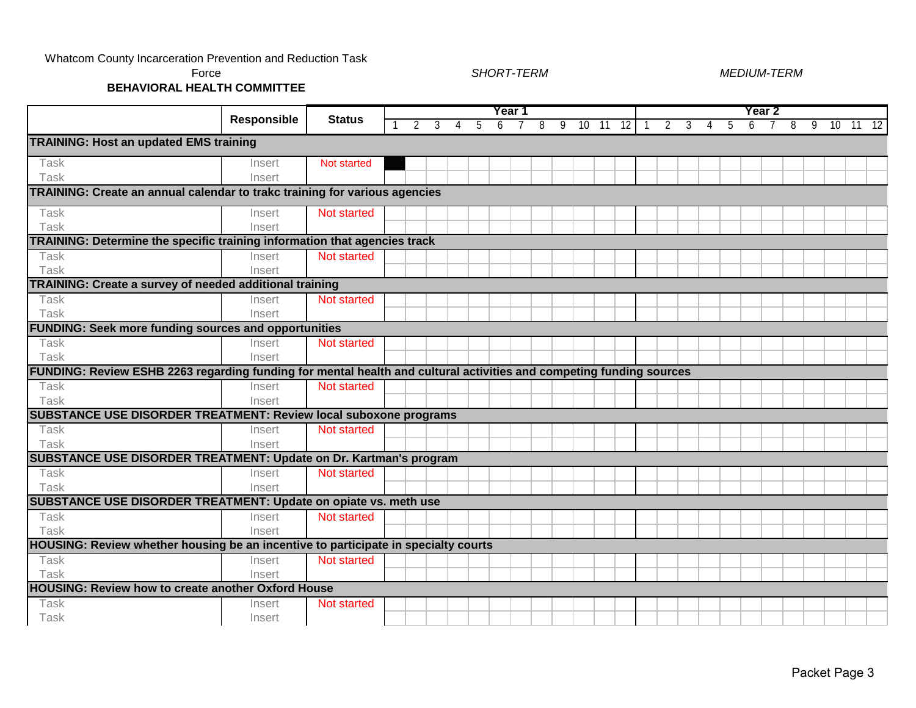#### Whatcom County Incarceration Prevention and Reduction Task

Force

#### *SHORT-TERM MEDIUM-TERM*

**BEHAVIORAL HEALTH COMMITTEE**

|                                                                                                                     |                    |                    | Year 1        |   |   |    |   |  |   |                |  |       |    |   |   |   |   | Year 2 |  |   |   |          |  |
|---------------------------------------------------------------------------------------------------------------------|--------------------|--------------------|---------------|---|---|----|---|--|---|----------------|--|-------|----|---|---|---|---|--------|--|---|---|----------|--|
|                                                                                                                     | <b>Responsible</b> | <b>Status</b>      | $\mathcal{P}$ | 3 | 4 | -5 | 6 |  | 8 | $\overline{9}$ |  | 10 11 | 12 | 2 | 3 | 4 | 5 | 6      |  | 8 | 9 | 10 11 12 |  |
| <b>TRAINING: Host an updated EMS training</b>                                                                       |                    |                    |               |   |   |    |   |  |   |                |  |       |    |   |   |   |   |        |  |   |   |          |  |
| Task                                                                                                                | Insert             | <b>Not started</b> |               |   |   |    |   |  |   |                |  |       |    |   |   |   |   |        |  |   |   |          |  |
| Task                                                                                                                | Insert             |                    |               |   |   |    |   |  |   |                |  |       |    |   |   |   |   |        |  |   |   |          |  |
| TRAINING: Create an annual calendar to trakc training for various agencies                                          |                    |                    |               |   |   |    |   |  |   |                |  |       |    |   |   |   |   |        |  |   |   |          |  |
| Task                                                                                                                | Insert             | Not started        |               |   |   |    |   |  |   |                |  |       |    |   |   |   |   |        |  |   |   |          |  |
| Task                                                                                                                | Insert             |                    |               |   |   |    |   |  |   |                |  |       |    |   |   |   |   |        |  |   |   |          |  |
| TRAINING: Determine the specific training information that agencies track                                           |                    |                    |               |   |   |    |   |  |   |                |  |       |    |   |   |   |   |        |  |   |   |          |  |
| Task                                                                                                                | Insert             | Not started        |               |   |   |    |   |  |   |                |  |       |    |   |   |   |   |        |  |   |   |          |  |
| Task                                                                                                                | Insert             |                    |               |   |   |    |   |  |   |                |  |       |    |   |   |   |   |        |  |   |   |          |  |
| TRAINING: Create a survey of needed additional training                                                             |                    |                    |               |   |   |    |   |  |   |                |  |       |    |   |   |   |   |        |  |   |   |          |  |
| Task                                                                                                                | Insert             | Not started        |               |   |   |    |   |  |   |                |  |       |    |   |   |   |   |        |  |   |   |          |  |
| Task                                                                                                                | Insert             |                    |               |   |   |    |   |  |   |                |  |       |    |   |   |   |   |        |  |   |   |          |  |
| <b>FUNDING: Seek more funding sources and opportunities</b>                                                         |                    |                    |               |   |   |    |   |  |   |                |  |       |    |   |   |   |   |        |  |   |   |          |  |
| Task                                                                                                                | Insert             | <b>Not started</b> |               |   |   |    |   |  |   |                |  |       |    |   |   |   |   |        |  |   |   |          |  |
| Task                                                                                                                | Insert             |                    |               |   |   |    |   |  |   |                |  |       |    |   |   |   |   |        |  |   |   |          |  |
| FUNDING: Review ESHB 2263 regarding funding for mental health and cultural activities and competing funding sources |                    |                    |               |   |   |    |   |  |   |                |  |       |    |   |   |   |   |        |  |   |   |          |  |
| Task                                                                                                                | Insert             | <b>Not started</b> |               |   |   |    |   |  |   |                |  |       |    |   |   |   |   |        |  |   |   |          |  |
| Task                                                                                                                | Insert             |                    |               |   |   |    |   |  |   |                |  |       |    |   |   |   |   |        |  |   |   |          |  |
| <b>SUBSTANCE USE DISORDER TREATMENT: Review local suboxone programs</b>                                             |                    |                    |               |   |   |    |   |  |   |                |  |       |    |   |   |   |   |        |  |   |   |          |  |
| Task                                                                                                                | Insert             | <b>Not started</b> |               |   |   |    |   |  |   |                |  |       |    |   |   |   |   |        |  |   |   |          |  |
| Task                                                                                                                | Insert             |                    |               |   |   |    |   |  |   |                |  |       |    |   |   |   |   |        |  |   |   |          |  |
| <b>SUBSTANCE USE DISORDER TREATMENT: Update on Dr. Kartman's program</b>                                            |                    |                    |               |   |   |    |   |  |   |                |  |       |    |   |   |   |   |        |  |   |   |          |  |
| Task                                                                                                                | Insert             | <b>Not started</b> |               |   |   |    |   |  |   |                |  |       |    |   |   |   |   |        |  |   |   |          |  |
| Task                                                                                                                | Insert             |                    |               |   |   |    |   |  |   |                |  |       |    |   |   |   |   |        |  |   |   |          |  |
| SUBSTANCE USE DISORDER TREATMENT: Update on opiate vs. meth use                                                     |                    |                    |               |   |   |    |   |  |   |                |  |       |    |   |   |   |   |        |  |   |   |          |  |
| Task                                                                                                                | Insert             | <b>Not started</b> |               |   |   |    |   |  |   |                |  |       |    |   |   |   |   |        |  |   |   |          |  |
| Task                                                                                                                | Insert             |                    |               |   |   |    |   |  |   |                |  |       |    |   |   |   |   |        |  |   |   |          |  |
| HOUSING: Review whether housing be an incentive to participate in specialty courts                                  |                    |                    |               |   |   |    |   |  |   |                |  |       |    |   |   |   |   |        |  |   |   |          |  |
| Task                                                                                                                | Insert             | Not started        |               |   |   |    |   |  |   |                |  |       |    |   |   |   |   |        |  |   |   |          |  |
| Task                                                                                                                | Insert             |                    |               |   |   |    |   |  |   |                |  |       |    |   |   |   |   |        |  |   |   |          |  |
| <b>HOUSING: Review how to create another Oxford House</b>                                                           |                    |                    |               |   |   |    |   |  |   |                |  |       |    |   |   |   |   |        |  |   |   |          |  |
| Task                                                                                                                | Insert             | Not started        |               |   |   |    |   |  |   |                |  |       |    |   |   |   |   |        |  |   |   |          |  |
| Task                                                                                                                | Insert             |                    |               |   |   |    |   |  |   |                |  |       |    |   |   |   |   |        |  |   |   |          |  |